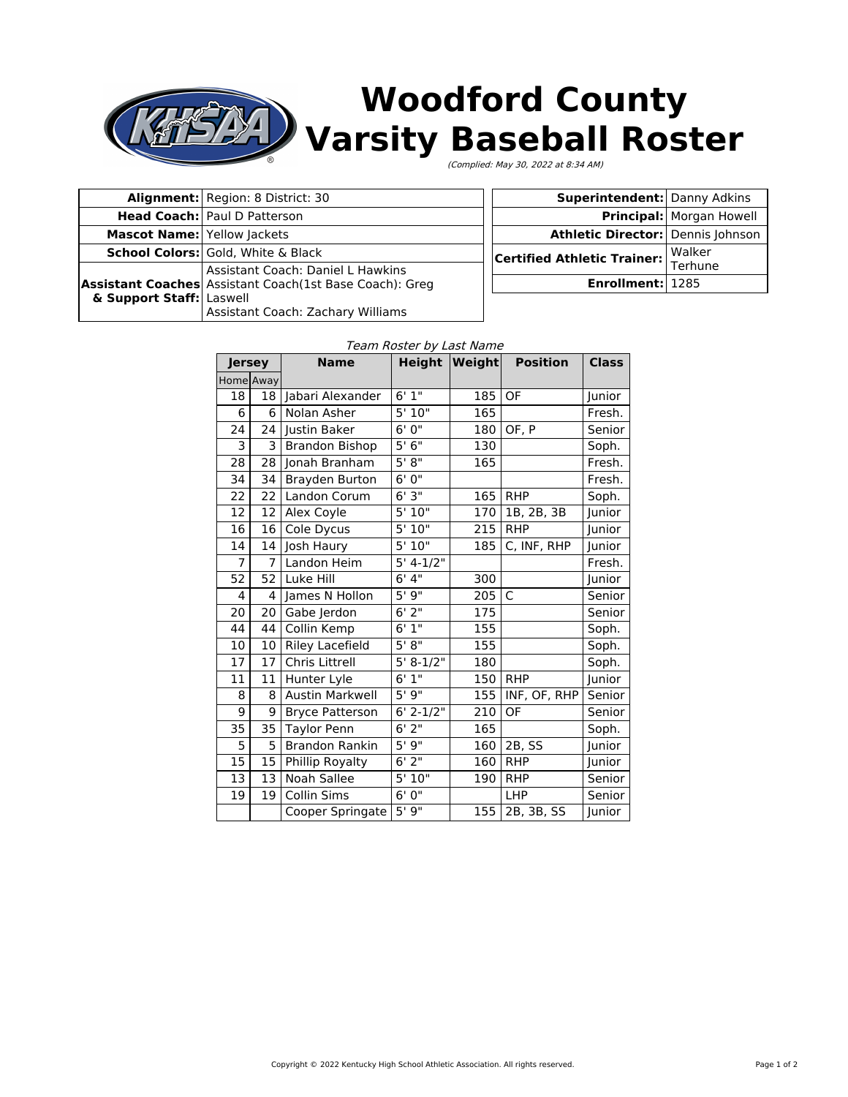

# **Woodford County Varsity Baseball Roster**

(Complied: May 30, 2022 at 8:34 AM)

|                                           | <b>Alignment:</b> Region: 8 District: 30                                                                                          |  |  |
|-------------------------------------------|-----------------------------------------------------------------------------------------------------------------------------------|--|--|
|                                           | <b>Head Coach: Paul D Patterson</b>                                                                                               |  |  |
| <b>Mascot Name: Yellow Jackets</b>        |                                                                                                                                   |  |  |
| <b>School Colors:</b> Gold, White & Black |                                                                                                                                   |  |  |
| & Support Staff: Laswell                  | Assistant Coach: Daniel L Hawkins<br>Assistant Coaches Assistant Coach(1st Base Coach): Greg<br>Assistant Coach: Zachary Williams |  |  |

| <b>Superintendent: Danny Adkins</b> |                          |  |
|-------------------------------------|--------------------------|--|
|                                     | Principal: Morgan Howell |  |
| Athletic Director: Dennis Johnson   |                          |  |
| Certified Athletic Trainer:         | Walker<br>Terhune        |  |
| Enrollment: 1285                    |                          |  |

| <b>Jersey</b>  |           | <b>Name</b>            |             | Height   Weight | <b>Position</b>           | <b>Class</b> |
|----------------|-----------|------------------------|-------------|-----------------|---------------------------|--------------|
|                | Home Away |                        |             |                 |                           |              |
| 18             | 18        | Jabari Alexander       | 6'1''       | 185             | OF                        | Junior       |
| 6              | 6         | Nolan Asher            | 5'10"       | 165             |                           | Fresh.       |
| 24             | 24        | Justin Baker           | 6'0''       | 180             | OF, P                     | Senior       |
| 3              | 3         | <b>Brandon Bishop</b>  | 5'6''       | 130             |                           | Soph.        |
| 28             | 28        | Jonah Branham          | 5' 8''      | 165             |                           | Fresh.       |
| 34             | 34        | Brayden Burton         | 6'0''       |                 |                           | Fresh.       |
| 22             | 22        | Landon Corum           | 6'3''       | 165             | <b>RHP</b>                | Soph.        |
| 12             | 12        | Alex Coyle             | 5' 10"      | 170             | 1B, 2B, 3B                | Junior       |
| 16             | 16        | Cole Dycus             | 5'10''      | 215             | <b>RHP</b>                | Junior       |
| 14             | 14        | Josh Haury             | 5'10"       | 185             | $\overline{C}$ , INF, RHP | Junior       |
| $\overline{7}$ | 7         | Landon Heim            | $5' 4-1/2"$ |                 |                           | Fresh.       |
| 52             | 52        | Luke Hill              | 6'4''       | 300             |                           | Junior       |
| 4              | 4         | James N Hollon         | 5'9''       | 205             | C                         | Senior       |
| 20             | 20        | Gabe Jerdon            | $6'$ 2"     | 175             |                           | Senior       |
| 44             | 44        | Collin Kemp            | 6'1''       | 155             |                           | Soph.        |
| 10             | 10        | <b>Riley Lacefield</b> | 5' 8''      | 155             |                           | Soph.        |
| 17             | 17        | <b>Chris Littrell</b>  | $5' 8-1/2"$ | 180             |                           | Soph.        |
| 11             | 11        | Hunter Lyle            | 6'1''       | 150             | <b>RHP</b>                | Junior       |
| 8              | 8         | <b>Austin Markwell</b> | 5'9''       | 155             | INF, OF, RHP              | Senior       |
| 9              | 9         | <b>Bryce Patterson</b> | $6'$ 2-1/2" | 210             | OF                        | Senior       |
| 35             | 35        | <b>Taylor Penn</b>     | $6'$ 2"     | 165             |                           | Soph.        |
| 5              | 5         | <b>Brandon Rankin</b>  | 5'9''       | 160             | 2B, SS                    | Junior       |
| 15             | 15        | Phillip Royalty        | $6'$ 2"     | 160             | <b>RHP</b>                | Junior       |
| 13             | 13        | Noah Sallee            | 5'10''      | 190             | <b>RHP</b>                | Senior       |
| 19             | 19        | Collin Sims            | 6'0''       |                 | LHP                       | Senior       |
|                |           | Cooper Springate       | 5'9''       | 155             | 2B, 3B, SS                | Junior       |

#### $\mathbf{D}$  and  $\mathbf{L}$  and  $\mathbf{L}$  and  $\mathbf{L}$  and  $\mathbf{L}$